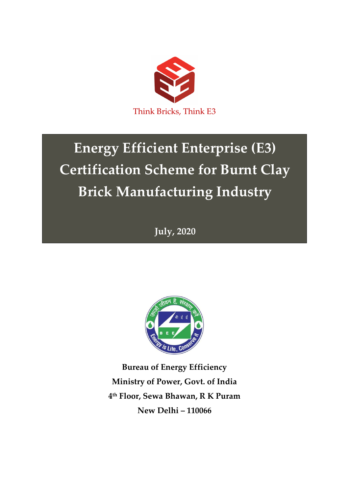

# **Energy Efficient Enterprise (E3) Certification Scheme for Burnt Clay Brick Manufacturing Industry**

**July, 2020**



**Bureau of Energy Efficiency Ministry of Power, Govt. of India 4 th Floor, Sewa Bhawan, R K Puram New Delhi – 110066**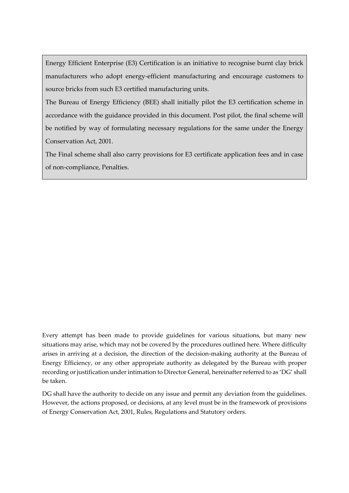Energy Efficient Enterprise (E3) Certification is an initiative to recognise burnt clay brick manufacturers who adopt energy-efficient manufacturing and encourage customers to source bricks from such E3 certified manufacturing units.

The Bureau of Energy Efficiency (BEE) shall initially pilot the E3 certification scheme in accordance with the guidance provided in this document. Post pilot, the final scheme will be notified by way of formulating necessary regulations for the same under the Energy Conservation Act, 2001.

The Final scheme shall also carry provisions for E3 certificate application fees and in case of non-compliance, Penalties.

Every attempt has been made to provide guidelines for various situations, but many new situations may arise, which may not be covered by the procedures outlined here. Where difficulty arises in arriving at a decision, the direction of the decision-making authority at the Bureau of Energy Efficiency, or any other appropriate authority as delegated by the Bureau with proper recording or justification under intimation to Director General, hereinafter referred to as 'DG' shall be taken.

DG shall have the authority to decide on any issue and permit any deviation from the guidelines. However, the actions proposed, or decisions, at any level must be in the framework of provisions of Energy Conservation Act, 2001, Rules, Regulations and Statutory orders.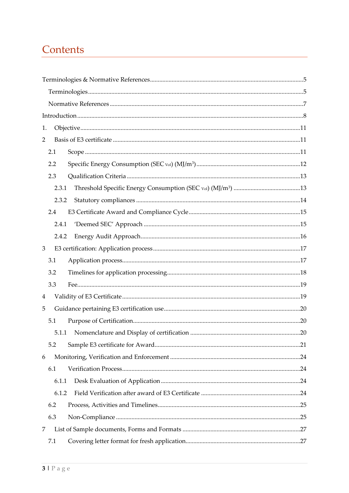## Contents

| 1.             |       |  |
|----------------|-------|--|
| $\overline{2}$ |       |  |
|                | 2.1   |  |
|                | 2.2   |  |
|                | 2.3   |  |
|                | 2.3.1 |  |
|                | 2.3.2 |  |
|                | 2.4   |  |
|                | 2.4.1 |  |
|                | 2.4.2 |  |
| $\mathfrak{Z}$ |       |  |
|                | 3.1   |  |
|                | 3.2   |  |
|                | 3.3   |  |
| $\overline{4}$ |       |  |
| 5              |       |  |
|                | 5.1   |  |
|                | 5.1.1 |  |
|                | 5.2   |  |
| 6              |       |  |
|                | 6.1   |  |
|                | 6.1.1 |  |
|                | 6.1.2 |  |
|                | 6.2   |  |
|                | 6.3   |  |
| 7              |       |  |
|                | 7.1   |  |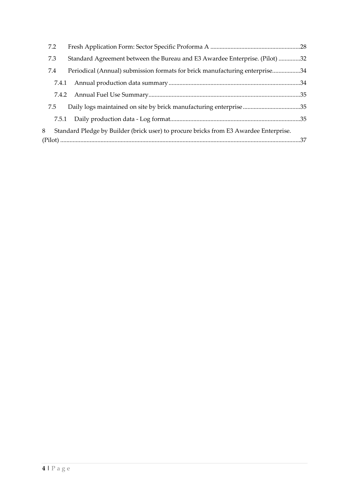|   | 7.2   |                                                                                       |  |
|---|-------|---------------------------------------------------------------------------------------|--|
|   | 7.3   | Standard Agreement between the Bureau and E3 Awardee Enterprise. (Pilot) 32           |  |
|   | 7.4   | Periodical (Annual) submission formats for brick manufacturing enterprise34           |  |
|   | 7.4.1 |                                                                                       |  |
|   | 7.4.2 |                                                                                       |  |
|   | 7.5   | Daily logs maintained on site by brick manufacturing enterprise35                     |  |
|   |       |                                                                                       |  |
| 8 |       | Standard Pledge by Builder (brick user) to procure bricks from E3 Awardee Enterprise. |  |
|   |       |                                                                                       |  |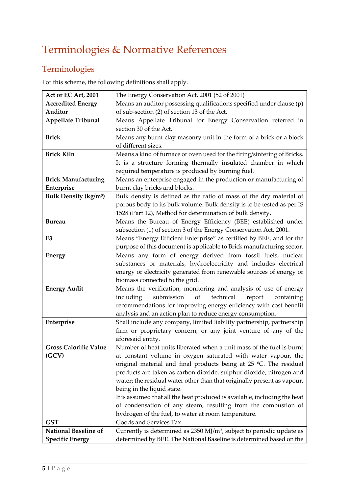### <span id="page-4-1"></span><span id="page-4-0"></span>Terminologies

For this scheme, the following definitions shall apply.

| Act or EC Act, 2001                    | The Energy Conservation Act, 2001 (52 of 2001)                                                          |
|----------------------------------------|---------------------------------------------------------------------------------------------------------|
| <b>Accredited Energy</b>               | Means an auditor possessing qualifications specified under clause (p)                                   |
| Auditor                                | of sub-section (2) of section 13 of the Act.                                                            |
| Appellate Tribunal                     | Means Appellate Tribunal for Energy Conservation referred in                                            |
|                                        | section 30 of the Act.                                                                                  |
| <b>Brick</b>                           | Means any burnt clay masonry unit in the form of a brick or a block                                     |
|                                        | of different sizes.                                                                                     |
| <b>Brick Kiln</b>                      | Means a kind of furnace or oven used for the firing/sintering of Bricks.                                |
|                                        | It is a structure forming thermally insulated chamber in which                                          |
|                                        | required temperature is produced by burning fuel.                                                       |
| <b>Brick Manufacturing</b>             | Means an enterprise engaged in the production or manufacturing of                                       |
| Enterprise                             | burnt clay bricks and blocks.                                                                           |
| <b>Bulk Density (kg/m<sup>3</sup>)</b> | Bulk density is defined as the ratio of mass of the dry material of                                     |
|                                        | porous body to its bulk volume. Bulk density is to be tested as per IS                                  |
|                                        | 1528 (Part 12), Method for determination of bulk density.                                               |
| <b>Bureau</b>                          | Means the Bureau of Energy Efficiency (BEE) established under                                           |
|                                        | subsection (1) of section 3 of the Energy Conservation Act, 2001.                                       |
| E3                                     | Means "Energy Efficient Enterprise" as certified by BEE, and for the                                    |
|                                        | purpose of this document is applicable to Brick manufacturing sector.                                   |
| <b>Energy</b>                          | Means any form of energy derived from fossil fuels, nuclear                                             |
|                                        | substances or materials, hydroelectricity and includes electrical                                       |
|                                        | energy or electricity generated from renewable sources of energy or                                     |
|                                        | biomass connected to the grid.                                                                          |
| <b>Energy Audit</b>                    | Means the verification, monitoring and analysis of use of energy                                        |
|                                        | submission<br>of<br>technical<br>including<br>report<br>containing                                      |
|                                        | recommendations for improving energy efficiency with cost benefit                                       |
|                                        | analysis and an action plan to reduce energy consumption.                                               |
| Enterprise                             | Shall include any company, limited liability partnership, partnership                                   |
|                                        | firm or proprietary concern, or any joint venture of any of the                                         |
|                                        | aforesaid entity.                                                                                       |
| <b>Gross Calorific Value</b>           | Number of heat units liberated when a unit mass of the fuel is burnt                                    |
| (GCV)                                  | at constant volume in oxygen saturated with water vapour, the                                           |
|                                        | original material and final products being at $25$ °C. The residual                                     |
|                                        | products are taken as carbon dioxide, sulphur dioxide, nitrogen and                                     |
|                                        | water; the residual water other than that originally present as vapour,                                 |
|                                        | being in the liquid state.<br>It is assumed that all the heat produced is available, including the heat |
|                                        | of condensation of any steam, resulting from the combustion of                                          |
|                                        | hydrogen of the fuel, to water at room temperature.                                                     |
| <b>GST</b>                             | Goods and Services Tax                                                                                  |
| <b>National Baseline of</b>            | Currently is determined as $2350$ MJ/m <sup>3</sup> , subject to periodic update as                     |
| <b>Specific Energy</b>                 | determined by BEE. The National Baseline is determined based on the                                     |
|                                        |                                                                                                         |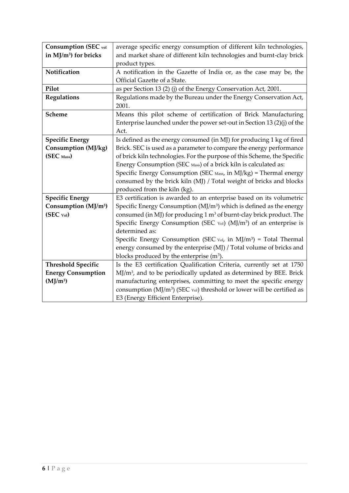| <b>Consumption (SEC vol</b>       | average specific energy consumption of different kiln technologies,                    |
|-----------------------------------|----------------------------------------------------------------------------------------|
| in MJ/m <sup>3</sup> ) for bricks | and market share of different kiln technologies and burnt-clay brick                   |
|                                   | product types.                                                                         |
| Notification                      | A notification in the Gazette of India or, as the case may be, the                     |
|                                   | Official Gazette of a State.                                                           |
| Pilot                             | as per Section 13 (2) (j) of the Energy Conservation Act, 2001.                        |
| Regulations                       | Regulations made by the Bureau under the Energy Conservation Act,                      |
|                                   | 2001.                                                                                  |
| Scheme                            | Means this pilot scheme of certification of Brick Manufacturing                        |
|                                   | Enterprise launched under the power set-out in Section 13 $(2)(j)$ of the              |
|                                   | Act.                                                                                   |
| <b>Specific Energy</b>            | Is defined as the energy consumed (in MJ) for producing 1 kg of fired                  |
| Consumption (MJ/kg)               | Brick. SEC is used as a parameter to compare the energy performance                    |
| (SEC Mass)                        | of brick kiln technologies. For the purpose of this Scheme, the Specific               |
|                                   | Energy Consumption (SEC Mass) of a brick kiln is calculated as:                        |
|                                   | Specific Energy Consumption (SEC Mass, in MJ/kg) = Thermal energy                      |
|                                   | consumed by the brick kiln (MJ) / Total weight of bricks and blocks                    |
|                                   | produced from the kiln (kg).                                                           |
| <b>Specific Energy</b>            | E3 certification is awarded to an enterprise based on its volumetric                   |
| Consumption (MJ/m <sup>3</sup> )  | Specific Energy Consumption (MJ/m <sup>3</sup> ) which is defined as the energy        |
| (SEC vol)                         | consumed (in MJ) for producing 1 m <sup>3</sup> of burnt-clay brick product. The       |
|                                   | Specific Energy Consumption (SEC vol) (MJ/m <sup>3</sup> ) of an enterprise is         |
|                                   | determined as:                                                                         |
|                                   | Specific Energy Consumption (SEC $\text{Vol}$ , in MJ/m <sup>3</sup> ) = Total Thermal |
|                                   | energy consumed by the enterprise (MJ) / Total volume of bricks and                    |
|                                   | blocks produced by the enterprise (m <sup>3</sup> ).                                   |
| <b>Threshold Specific</b>         | Is the E3 certification Qualification Criteria, currently set at 1750                  |
| <b>Energy Consumption</b>         | MJ/m <sup>3</sup> , and to be periodically updated as determined by BEE. Brick         |
| $(MJ/m^3)$                        | manufacturing enterprises, committing to meet the specific energy                      |
|                                   | consumption (MJ/m <sup>3</sup> ) (SEC vol) threshold or lower will be certified as     |
|                                   | E3 (Energy Efficient Enterprise).                                                      |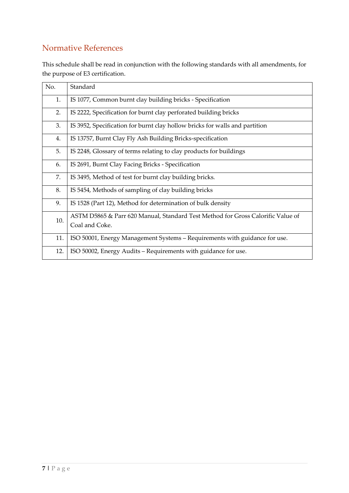#### <span id="page-6-0"></span>Normative References

This schedule shall be read in conjunction with the following standards with all amendments, for the purpose of E3 certification.

| No. | Standard                                                                                          |
|-----|---------------------------------------------------------------------------------------------------|
| 1.  | IS 1077, Common burnt clay building bricks - Specification                                        |
| 2.  | IS 2222, Specification for burnt clay perforated building bricks                                  |
| 3.  | IS 3952, Specification for burnt clay hollow bricks for walls and partition                       |
| 4.  | IS 13757, Burnt Clay Fly Ash Building Bricks-specification                                        |
| 5.  | IS 2248, Glossary of terms relating to clay products for buildings                                |
| 6.  | IS 2691, Burnt Clay Facing Bricks - Specification                                                 |
| 7.  | IS 3495, Method of test for burnt clay building bricks.                                           |
| 8.  | IS 5454, Methods of sampling of clay building bricks                                              |
| 9.  | IS 1528 (Part 12), Method for determination of bulk density                                       |
| 10. | ASTM D5865 & Parr 620 Manual, Standard Test Method for Gross Calorific Value of<br>Coal and Coke. |
| 11. | ISO 50001, Energy Management Systems - Requirements with guidance for use.                        |
| 12. | ISO 50002, Energy Audits – Requirements with guidance for use.                                    |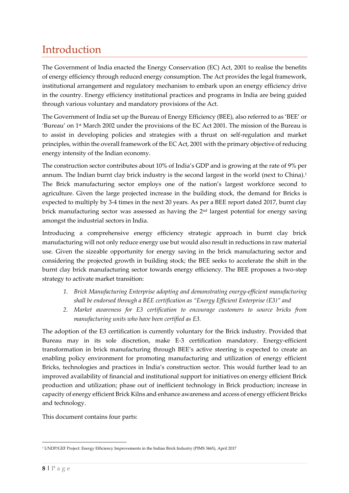## <span id="page-7-0"></span>Introduction

The Government of India enacted the Energy Conservation (EC) Act, 2001 to realise the benefits of energy efficiency through reduced energy consumption. The Act provides the legal framework, institutional arrangement and regulatory mechanism to embark upon an energy efficiency drive in the country. Energy efficiency institutional practices and programs in India are being guided through various voluntary and mandatory provisions of the Act.

The Government of India set up the Bureau of Energy Efficiency (BEE), also referred to as 'BEE' or 'Bureau' on 1st March 2002 under the provisions of the EC Act 2001. The mission of the Bureau is to assist in developing policies and strategies with a thrust on self-regulation and market principles, within the overall framework of the EC Act, 2001 with the primary objective of reducing energy intensity of the Indian economy.

The construction sector contributes about 10% of India's GDP and is growing at the rate of 9% per annum. The Indian burnt clay brick industry is the second largest in the world (next to China).<sup>1</sup> The Brick manufacturing sector employs one of the nation's largest workforce second to agriculture. Given the large projected increase in the building stock, the demand for Bricks is expected to multiply by 3-4 times in the next 20 years. As per a BEE report dated 2017, burnt clay brick manufacturing sector was assessed as having the 2nd largest potential for energy saving amongst the industrial sectors in India.

Introducing a comprehensive energy efficiency strategic approach in burnt clay brick manufacturing will not only reduce energy use but would also result in reductions in raw material use. Given the sizeable opportunity for energy saving in the brick manufacturing sector and considering the projected growth in building stock; the BEE seeks to accelerate the shift in the burnt clay brick manufacturing sector towards energy efficiency. The BEE proposes a two-step strategy to activate market transition:

- *1. Brick Manufacturing Enterprise adopting and demonstrating energy-efficient manufacturing shall be endorsed through a BEE certification as "Energy Efficient Enterprise (E3)" and*
- *2. Market awareness for E3 certification to encourage customers to source bricks from manufacturing units who have been certified as E3.*

The adoption of the E3 certification is currently voluntary for the Brick industry. Provided that Bureau may in its sole discretion, make E-3 certification mandatory. Energy-efficient transformation in brick manufacturing through BEE's active steering is expected to create an enabling policy environment for promoting manufacturing and utilization of energy efficient Bricks, technologies and practices in India's construction sector. This would further lead to an improved availability of financial and institutional support for initiatives on energy efficient Brick production and utilization; phase out of inefficient technology in Brick production; increase in capacity of energy efficient Brick Kilns and enhance awareness and access of energy efficient Bricks and technology.

This document contains four parts:

<sup>1</sup> UNDP/GEF Project: Energy Efficiency Improvements in the Indian Brick Industry (PIMS 3465), April 2017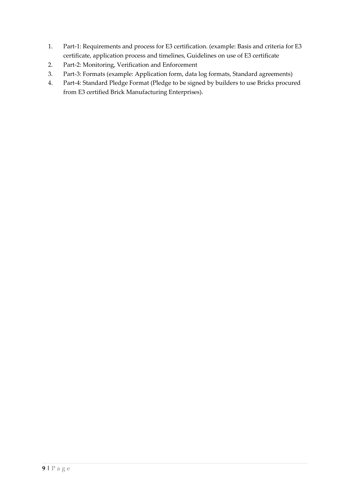- 1. Part-1: Requirements and process for E3 certification. (example: Basis and criteria for E3 certificate, application process and timelines, Guidelines on use of E3 certificate
- 2. Part-2: Monitoring, Verification and Enforcement
- 3. Part-3: Formats (example: Application form, data log formats, Standard agreements)
- 4. Part-4: Standard Pledge Format (Pledge to be signed by builders to use Bricks procured from E3 certified Brick Manufacturing Enterprises).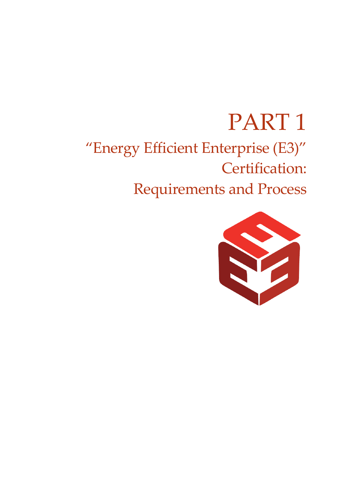# PART 1 "Energy Efficient Enterprise (E3)" Certification: Requirements and Process

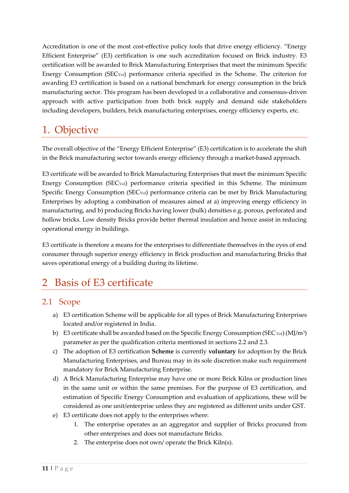Accreditation is one of the most cost-effective policy tools that drive energy efficiency. "Energy Efficient Enterprise" (E3) certification is one such accreditation focused on Brick industry. E3 certification will be awarded to Brick Manufacturing Enterprises that meet the minimum Specific Energy Consumption (SECVol) performance criteria specified in the Scheme. The criterion for awarding E3 certification is based on a national benchmark for energy consumption in the brick manufacturing sector. This program has been developed in a collaborative and consensus-driven approach with active participation from both brick supply and demand side stakeholders including developers, builders, brick manufacturing enterprises, energy efficiency experts, etc.

### <span id="page-10-0"></span>1. Objective

The overall objective of the "Energy Efficient Enterprise" (E3) certification is to accelerate the shift in the Brick manufacturing sector towards energy efficiency through a market-based approach.

E3 certificate will be awarded to Brick Manufacturing Enterprises that meet the minimum Specific Energy Consumption (SECVol) performance criteria specified in this Scheme. The minimum Specific Energy Consumption (SECVol) performance criteria can be met by Brick Manufacturing Enterprises by adopting a combination of measures aimed at a) improving energy efficiency in manufacturing, and b) producing Bricks having lower (bulk) densities e.g. porous, perforated and hollow bricks. Low density Bricks provide better thermal insulation and hence assist in reducing operational energy in buildings.

E3 certificate is therefore a means for the enterprises to differentiate themselves in the eyes of end consumer through superior energy efficiency in Brick production and manufacturing Bricks that saves operational energy of a building during its lifetime.

### <span id="page-10-1"></span>2 Basis of E3 certificate

#### <span id="page-10-2"></span>2.1 Scope

- a) E3 certification Scheme will be applicable for all types of Brick Manufacturing Enterprises located and/or registered in India.
- b) E3 certificate shall be awarded based on the Specific Energy Consumption (SEC vol) (MJ/m<sup>3</sup>) parameter as per the qualification criteria mentioned in sections 2.2 and 2.3.
- c) The adoption of E3 certification **Scheme** is currently **voluntary** for adoption by the Brick Manufacturing Enterprises, and Bureau may in its sole discretion make such requirement mandatory for Brick Manufacturing Enterprise.
- d) A Brick Manufacturing Enterprise may have one or more Brick Kilns or production lines in the same unit or within the same premises. For the purpose of E3 certification, and estimation of Specific Energy Consumption and evaluation of applications, these will be considered as one unit/enterprise unless they are registered as different units under GST.
- e) E3 certificate does not apply to the enterprises where:
	- 1. The enterprise operates as an aggregator and supplier of Bricks procured from other enterprises and does not manufacture Bricks.
	- 2. The enterprise does not own/ operate the Brick Kiln(s).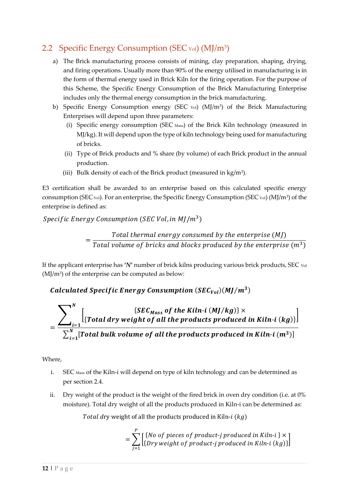#### <span id="page-11-0"></span>2.2 Specific Energy Consumption (SEC vol) (MJ/m<sup>3</sup>)

- a) The Brick manufacturing process consists of mining, clay preparation, shaping, drying, and firing operations. Usually more than 90% of the energy utilised in manufacturing is in the form of thermal energy used in Brick Kiln for the firing operation. For the purpose of this Scheme, the Specific Energy Consumption of the Brick Manufacturing Enterprise includes only the thermal energy consumption in the brick manufacturing.
- b) Specific Energy Consumption energy (SEC vol) (MJ/m<sup>3</sup>) of the Brick Manufacturing Enterprises will depend upon three parameters:
	- (i) Specific energy consumption (SEC Mass) of the Brick Kiln technology (measured in MJ/kg). It will depend upon the type of kiln technology being used for manufacturing of bricks.
	- (ii) Type of Brick products and % share (by volume) of each Brick product in the annual production.
	- (iii) Bulk density of each of the Brick product (measured in  $kg/m<sup>3</sup>$ ).

E3 certification shall be awarded to an enterprise based on this calculated specific energy consumption (SEC vol). For an enterprise, the Specific Energy Consumption (SEC vol) (MJ/m<sup>3</sup>) of the enterprise is defined as:

#### Specific Energy Consumption (SEC Vol, in MJ/m $^3)$

= Total thermal energy consumed by the enterprise  $(M)$ Total volume of bricks and blocks produced by the enterprise  $(m^3)$ 

If the applicant enterprise has **'***N***'** number of brick kilns producing various brick products, SEC Vol  $(MJ/m<sup>3</sup>)$  of the enterprise can be computed as below:

Calculated Specific Energy Consumption  $(SEC_{Vol})(MI/m^3)$ 

$$
= \frac{\sum_{i=1}^{N} \left[ \{Total\ dry\ weight\ of\ all\ the\ Froducts\ produced\ in\ Kiln-i\ (kg)\} \right]}{\sum_{i=1}^{N} [Total\ bulk\ volume\ of\ all\ the\ products\ produced\ in\ Kiln-i\ (m^3)]}
$$

#### Where,

- i. SEC Mass of the Kiln-i will depend on type of kiln technology and can be determined as per section 2.4.
- ii. Dry weight of the product is the weight of the fired brick in oven dry condition (i.e. at 0% moisture). Total dry weight of all the products produced in Kiln-i can be determined as:

Total dry weight of all the products produced in Kiln- $i$  ( $kg$ )

$$
= \sum_{j=1}^{P} \left[ \{No \text{ of pieces of product-j produced in Kiln-i } \} \times \\ \left[ \{ Dry \text{ weight of product-j produced in Kiln-i } (kg) \} \right] \right]
$$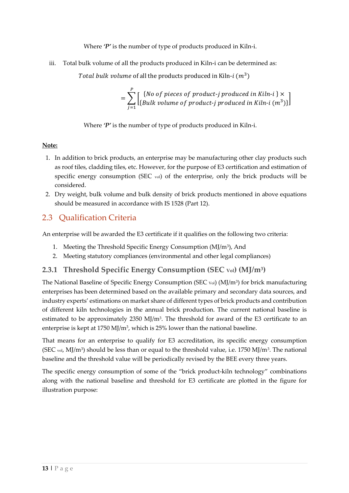Where  $\mathcal{P}'$  is the number of type of products produced in Kiln-i.

iii. Total bulk volume of all the products produced in Kiln-i can be determined as:

Total bulk volume of all the products produced in Kiln- $i$   $(m^3)$ 

$$
= \sum_{j=1}^{P} \left[ \begin{array}{c} \{No \text{ of pieces of product-j produced in Kiln-i } \} \times \\ \{Bulk \text{ volume of product-j produced in Kiln-i } (m^3) \} \end{array} \right]
$$

Where *'P'* is the number of type of products produced in Kiln-i.

#### **Note:**

- 1. In addition to brick products, an enterprise may be manufacturing other clay products such as roof tiles, cladding tiles, etc. However, for the purpose of E3 certification and estimation of specific energy consumption (SEC  $_{\text{vol}}$ ) of the enterprise, only the brick products will be considered.
- 2. Dry weight, bulk volume and bulk density of brick products mentioned in above equations should be measured in accordance with IS 1528 (Part 12).

#### <span id="page-12-0"></span>2.3 Qualification Criteria

An enterprise will be awarded the E3 certificate if it qualifies on the following two criteria:

- 1. Meeting the Threshold Specific Energy Consumption (MJ/m<sup>3</sup>), And
- 2. Meeting statutory compliances (environmental and other legal compliances)

#### <span id="page-12-1"></span>**2.3.1 Threshold Specific Energy Consumption (SEC Vol) (MJ/m<sup>3</sup> )**

The National Baseline of Specific Energy Consumption (SEC vol) (MJ/m<sup>3</sup>) for brick manufacturing enterprises has been determined based on the available primary and secondary data sources, and industry experts' estimations on market share of different types of brick products and contribution of different kiln technologies in the annual brick production. The current national baseline is estimated to be approximately 2350 MJ/m<sup>3</sup>. The threshold for award of the E3 certificate to an enterprise is kept at 1750 MJ/m<sup>3</sup> , which is 25% lower than the national baseline.

That means for an enterprise to qualify for E3 accreditation, its specific energy consumption (SEC vol, MJ/m<sup>3</sup>) should be less than or equal to the threshold value, i.e. 1750 MJ/m<sup>3</sup>. The national baseline and the threshold value will be periodically revised by the BEE every three years.

The specific energy consumption of some of the "brick product-kiln technology" combinations along with the national baseline and threshold for E3 certificate are plotted in the figure for illustration purpose: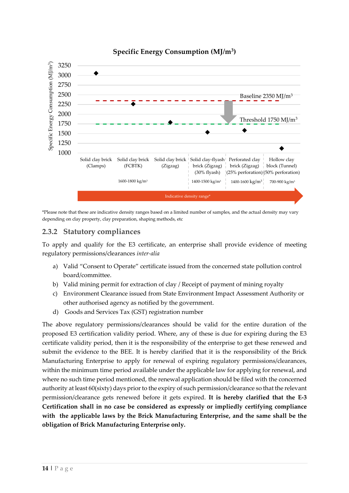

#### **Specific Energy Consumption (MJ/m<sup>3</sup> )**

\*Please note that these are indicative density ranges based on a limited number of samples, and the actual density may vary depending on clay property, clay preparation, shaping methods, etc

#### <span id="page-13-0"></span>**2.3.2 Statutory compliances**

To apply and qualify for the E3 certificate, an enterprise shall provide evidence of meeting regulatory permissions/clearances *inter-alia*

- a) Valid "Consent to Operate" certificate issued from the concerned state pollution control board/committee.
- b) Valid mining permit for extraction of clay / Receipt of payment of mining royalty
- c) Environment Clearance issued from State Environment Impact Assessment Authority or other authorised agency as notified by the government.
- d) Goods and Services Tax (GST) registration number

The above regulatory permissions/clearances should be valid for the entire duration of the proposed E3 certification validity period. Where, any of these is due for expiring during the E3 certificate validity period, then it is the responsibility of the enterprise to get these renewed and submit the evidence to the BEE. It is hereby clarified that it is the responsibility of the Brick Manufacturing Enterprise to apply for renewal of expiring regulatory permissions/clearances, within the minimum time period available under the applicable law for applying for renewal, and where no such time period mentioned, the renewal application should be filed with the concerned authority at least 60(sixty) days prior to the expiry of such permission/clearance so that the relevant permission/clearance gets renewed before it gets expired. **It is hereby clarified that the E-3 Certification shall in no case be considered as expressly or impliedly certifying compliance with the applicable laws by the Brick Manufacturing Enterprise, and the same shall be the obligation of Brick Manufacturing Enterprise only.**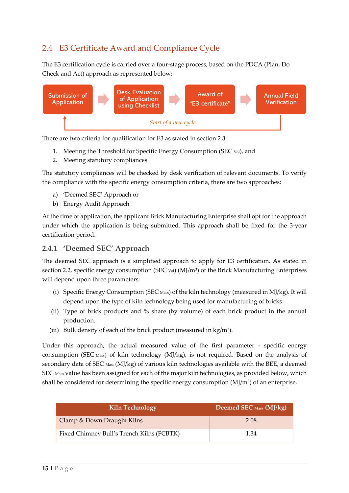#### <span id="page-14-0"></span>2.4 E3 Certificate Award and Compliance Cycle

The E3 certification cycle is carried over a four-stage process, based on the PDCA (Plan, Do Check and Act) approach as represented below:



There are two criteria for qualification for E3 as stated in section 2.3:

- 1. Meeting the Threshold for Specific Energy Consumption (SEC Vol), and
- 2. Meeting statutory compliances

The statutory compliances will be checked by desk verification of relevant documents. To verify the compliance with the specific energy consumption criteria, there are two approaches:

- a) 'Deemed SEC' Approach or
- b) Energy Audit Approach

At the time of application, the applicant Brick Manufacturing Enterprise shall opt for the approach under which the application is being submitted. This approach shall be fixed for the 3-year certification period.

#### <span id="page-14-1"></span>**2.4.1 'Deemed SEC' Approach**

The deemed SEC approach is a simplified approach to apply for E3 certification. As stated in section 2.2, specific energy consumption (SEC  $_{\text{Vol}}$ ) (MJ/m<sup>3</sup>) of the Brick Manufacturing Enterprises will depend upon three parameters:

- (i) Specific Energy Consumption (SEC Mass) of the kiln technology (measured in MJ/kg). It will depend upon the type of kiln technology being used for manufacturing of bricks.
- (ii) Type of brick products and % share (by volume) of each brick product in the annual production.
- (iii) Bulk density of each of the brick product (measured in  $kg/m<sup>3</sup>$ ).

Under this approach, the actual measured value of the first parameter - specific energy consumption (SEC Mass) of kiln technology (MJ/kg), is not required. Based on the analysis of secondary data of SEC Mass (MJ/kg) of various kiln technologies available with the BEE, a deemed SEC Mass value has been assigned for each of the major kiln technologies, as provided below, which shall be considered for determining the specific energy consumption (MJ/m<sup>3</sup>) of an enterprise.

| <b>Kiln Technology</b>                    | Deemed SEC Mass (MJ/kg) |
|-------------------------------------------|-------------------------|
| Clamp & Down Draught Kilns                | 2.08                    |
| Fixed Chimney Bull's Trench Kilns (FCBTK) | 1.34                    |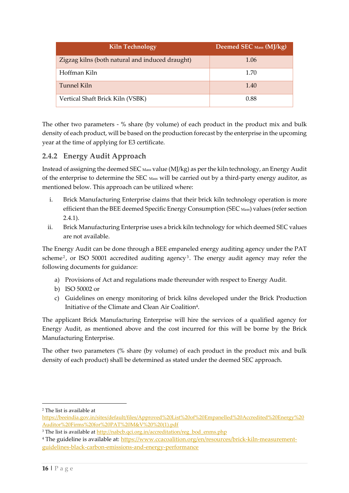| <b>Kiln Technology</b>                          | Deemed SEC Mass (MJ/kg) |
|-------------------------------------------------|-------------------------|
| Zigzag kilns (both natural and induced draught) | 1.06                    |
| Hoffman Kiln                                    | 1.70                    |
| Tunnel Kiln                                     | 1.40                    |
| Vertical Shaft Brick Kiln (VSBK)                | 0.88                    |

The other two parameters - % share (by volume) of each product in the product mix and bulk density of each product, will be based on the production forecast by the enterprise in the upcoming year at the time of applying for E3 certificate.

#### <span id="page-15-0"></span>**2.4.2 Energy Audit Approach**

Instead of assigning the deemed SEC Mass value (MJ/kg) as per the kiln technology, an Energy Audit of the enterprise to determine the SEC Mass will be carried out by a third-party energy auditor, as mentioned below. This approach can be utilized where:

- i. Brick Manufacturing Enterprise claims that their brick kiln technology operation is more efficient than the BEE deemed Specific Energy Consumption (SEC Mass) values (refer section 2.4.1).
- ii. Brick Manufacturing Enterprise uses a brick kiln technology for which deemed SEC values are not available.

The Energy Audit can be done through a BEE empaneled energy auditing agency under the PAT scheme<sup>2</sup>, or ISO 50001 accredited auditing agency<sup>3</sup>. The energy audit agency may refer the following documents for guidance:

- a) Provisions of Act and regulations made thereunder with respect to Energy Audit.
- b) ISO 50002 or
- c) Guidelines on energy monitoring of brick kilns developed under the Brick Production Initiative of the Climate and Clean Air Coalition<sup>4</sup>.

The applicant Brick Manufacturing Enterprise will hire the services of a qualified agency for Energy Audit, as mentioned above and the cost incurred for this will be borne by the Brick Manufacturing Enterprise.

The other two parameters (% share (by volume) of each product in the product mix and bulk density of each product) shall be determined as stated under the deemed SEC approach.

<sup>2</sup> The list is available at

[https://beeindia.gov.in/sites/default/files/Approved%20List%20of%20Empanelled%20Accredited%20Energy%20](https://beeindia.gov.in/sites/default/files/Approved%20List%20of%20Empanelled%20Accredited%20Energy%20Auditor%20Firms%20for%20PAT%20M&V%20%20(1).pdf) [Auditor%20Firms%20for%20PAT%20M&V%20%20\(1\).pdf](https://beeindia.gov.in/sites/default/files/Approved%20List%20of%20Empanelled%20Accredited%20Energy%20Auditor%20Firms%20for%20PAT%20M&V%20%20(1).pdf)

<sup>&</sup>lt;sup>3</sup> The list is available at [http://nabcb.qci.org.in/accreditation/reg\\_bod\\_enms.php](http://nabcb.qci.org.in/accreditation/reg_bod_enms.php)

<sup>&</sup>lt;sup>4</sup> The guideline is available at: [https://www.ccacoalition.org/en/resources/brick-kiln-measurement](https://www.ccacoalition.org/en/resources/brick-kiln-measurement-guidelines-black-carbon-emissions-and-energy-performance)[guidelines-black-carbon-emissions-and-energy-performance](https://www.ccacoalition.org/en/resources/brick-kiln-measurement-guidelines-black-carbon-emissions-and-energy-performance)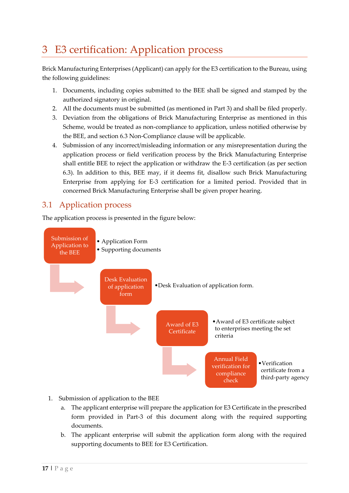# <span id="page-16-0"></span>3 E3 certification: Application process

Brick Manufacturing Enterprises (Applicant) can apply for the E3 certification to the Bureau, using the following guidelines:

- 1. Documents, including copies submitted to the BEE shall be signed and stamped by the authorized signatory in original.
- 2. All the documents must be submitted (as mentioned in Part 3) and shall be filed properly.
- 3. Deviation from the obligations of Brick Manufacturing Enterprise as mentioned in this Scheme, would be treated as non-compliance to application, unless notified otherwise by the BEE, and section 6.3 Non-Compliance clause will be applicable.
- 4. Submission of any incorrect/misleading information or any misrepresentation during the application process or field verification process by the Brick Manufacturing Enterprise shall entitle BEE to reject the application or withdraw the E-3 certification (as per section 6.3). In addition to this, BEE may, if it deems fit, disallow such Brick Manufacturing Enterprise from applying for E-3 certification for a limited period. Provided that in concerned Brick Manufacturing Enterprise shall be given proper hearing.

#### <span id="page-16-1"></span>3.1 Application process

The application process is presented in the figure below:



- 1. Submission of application to the BEE
	- a. The applicant enterprise will prepare the application for E3 Certificate in the prescribed form provided in Part-3 of this document along with the required supporting documents.
	- b. The applicant enterprise will submit the application form along with the required supporting documents to BEE for E3 Certification.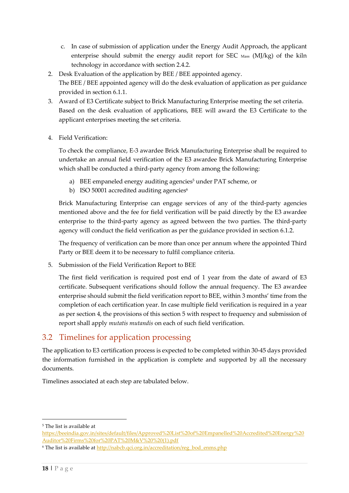- c. In case of submission of application under the Energy Audit Approach, the applicant enterprise should submit the energy audit report for SEC Mass (MJ/kg) of the kiln technology in accordance with section 2.4.2.
- 2. Desk Evaluation of the application by BEE / BEE appointed agency. The BEE / BEE appointed agency will do the desk evaluation of application as per guidance provided in section 6.1.1.
- 3. Award of E3 Certificate subject to Brick Manufacturing Enterprise meeting the set criteria. Based on the desk evaluation of applications, BEE will award the E3 Certificate to the applicant enterprises meeting the set criteria.
- 4. Field Verification:

To check the compliance, E-3 awardee Brick Manufacturing Enterprise shall be required to undertake an annual field verification of the E3 awardee Brick Manufacturing Enterprise which shall be conducted a third-party agency from among the following:

- a) BEE empaneled energy auditing agencies<sup>5</sup> under PAT scheme, or
- b) ISO 50001 accredited auditing agencies<sup>6</sup>

Brick Manufacturing Enterprise can engage services of any of the third-party agencies mentioned above and the fee for field verification will be paid directly by the E3 awardee enterprise to the third-party agency as agreed between the two parties. The third-party agency will conduct the field verification as per the guidance provided in section 6.1.2.

The frequency of verification can be more than once per annum where the appointed Third Party or BEE deem it to be necessary to fulfil compliance criteria.

5. Submission of the Field Verification Report to BEE

The first field verification is required post end of 1 year from the date of award of E3 certificate. Subsequent verifications should follow the annual frequency. The E3 awardee enterprise should submit the field verification report to BEE, within 3 months' time from the completion of each certification year. In case multiple field verification is required in a year as per section 4, the provisions of this section 5 with respect to frequency and submission of report shall apply *mutatis mutandis* on each of such field verification.

#### <span id="page-17-0"></span>3.2 Timelines for application processing

The application to E3 certification process is expected to be completed within 30-45 days provided the information furnished in the application is complete and supported by all the necessary documents.

Timelines associated at each step are tabulated below.

<sup>5</sup> The list is available at

[https://beeindia.gov.in/sites/default/files/Approved%20List%20of%20Empanelled%20Accredited%20Energy%20](https://beeindia.gov.in/sites/default/files/Approved%20List%20of%20Empanelled%20Accredited%20Energy%20Auditor%20Firms%20for%20PAT%20M&V%20%20(1).pdf) [Auditor%20Firms%20for%20PAT%20M&V%20%20\(1\).pdf](https://beeindia.gov.in/sites/default/files/Approved%20List%20of%20Empanelled%20Accredited%20Energy%20Auditor%20Firms%20for%20PAT%20M&V%20%20(1).pdf)

<sup>&</sup>lt;sup>6</sup> The list is available at [http://nabcb.qci.org.in/accreditation/reg\\_bod\\_enms.php](http://nabcb.qci.org.in/accreditation/reg_bod_enms.php)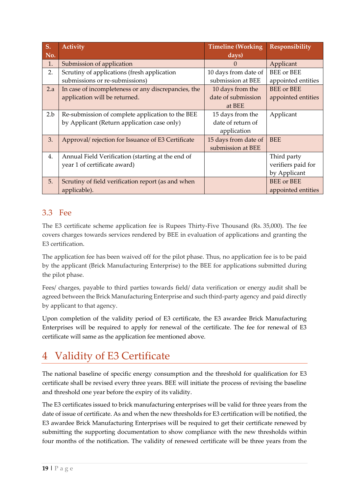| S.  | <b>Activity</b>                                     | <b>Timeline (Working</b> | Responsibility           |
|-----|-----------------------------------------------------|--------------------------|--------------------------|
| No. |                                                     | days)                    |                          |
| 1.  | Submission of application                           | $\mathcal{O}$            | Applicant                |
| 2.  | Scrutiny of applications (fresh application         | 10 days from date of     | <b>BEE</b> or <b>BEE</b> |
|     | submissions or re-submissions)                      | submission at BEE        | appointed entities       |
| 2.a | In case of incompleteness or any discrepancies, the | 10 days from the         | <b>BEE</b> or <b>BEE</b> |
|     | application will be returned.                       | date of submission       | appointed entities       |
|     |                                                     | at BEE                   |                          |
| 2.b | Re-submission of complete application to the BEE    | 15 days from the         | Applicant                |
|     | by Applicant (Return application case only)         | date of return of        |                          |
|     |                                                     | application              |                          |
| 3.  | Approval/rejection for Issuance of E3 Certificate   | 15 days from date of     | <b>BEE</b>               |
|     |                                                     | submission at BEE        |                          |
| 4.  | Annual Field Verification (starting at the end of   |                          | Third party              |
|     | year 1 of certificate award)                        |                          | verifiers paid for       |
|     |                                                     |                          | by Applicant             |
| 5.  | Scrutiny of field verification report (as and when  |                          | <b>BEE</b> or <b>BEE</b> |
|     | applicable).                                        |                          | appointed entities       |

#### <span id="page-18-0"></span>3.3 Fee

The E3 certificate scheme application fee is Rupees Thirty-Five Thousand (Rs. 35,000). The fee covers charges towards services rendered by BEE in evaluation of applications and granting the E3 certification.

The application fee has been waived off for the pilot phase. Thus, no application fee is to be paid by the applicant (Brick Manufacturing Enterprise) to the BEE for applications submitted during the pilot phase.

Fees/ charges, payable to third parties towards field/ data verification or energy audit shall be agreed between the Brick Manufacturing Enterprise and such third-party agency and paid directly by applicant to that agency.

Upon completion of the validity period of E3 certificate, the E3 awardee Brick Manufacturing Enterprises will be required to apply for renewal of the certificate. The fee for renewal of E3 certificate will same as the application fee mentioned above.

# <span id="page-18-1"></span>4 Validity of E3 Certificate

The national baseline of specific energy consumption and the threshold for qualification for E3 certificate shall be revised every three years. BEE will initiate the process of revising the baseline and threshold one year before the expiry of its validity.

The E3 certificates issued to brick manufacturing enterprises will be valid for three years from the date of issue of certificate. As and when the new thresholds for E3 certification will be notified, the E3 awardee Brick Manufacturing Enterprises will be required to get their certificate renewed by submitting the supporting documentation to show compliance with the new thresholds within four months of the notification. The validity of renewed certificate will be three years from the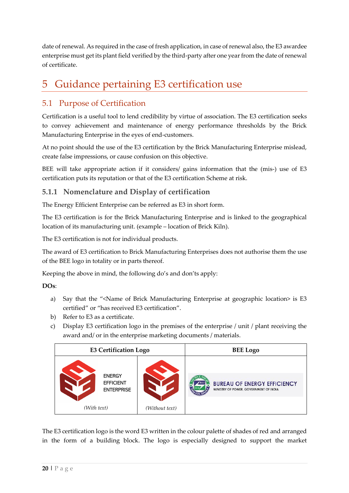date of renewal. As required in the case of fresh application, in case of renewal also, the E3 awardee enterprise must get its plant field verified by the third-party after one year from the date of renewal of certificate.

## <span id="page-19-0"></span>5 Guidance pertaining E3 certification use

#### <span id="page-19-1"></span>5.1 Purpose of Certification

Certification is a useful tool to lend credibility by virtue of association. The E3 certification seeks to convey achievement and maintenance of energy performance thresholds by the Brick Manufacturing Enterprise in the eyes of end-customers.

At no point should the use of the E3 certification by the Brick Manufacturing Enterprise mislead, create false impressions, or cause confusion on this objective.

BEE will take appropriate action if it considers/ gains information that the (mis-) use of E3 certification puts its reputation or that of the E3 certification Scheme at risk.

#### <span id="page-19-2"></span>**5.1.1 Nomenclature and Display of certification**

The Energy Efficient Enterprise can be referred as E3 in short form.

The E3 certification is for the Brick Manufacturing Enterprise and is linked to the geographical location of its manufacturing unit. (example – location of Brick Kiln).

The E3 certification is not for individual products.

The award of E3 certification to Brick Manufacturing Enterprises does not authorise them the use of the BEE logo in totality or in parts thereof.

Keeping the above in mind, the following do's and don'ts apply:

**DOs**:

- a) Say that the "<Name of Brick Manufacturing Enterprise at geographic location> is E3 certified" or "has received E3 certification".
- b) Refer to E3 as a certificate.
- c) Display E3 certification logo in the premises of the enterprise / unit / plant receiving the award and/ or in the enterprise marketing documents / materials.

| <b>E3 Certification Logo</b>                                          |                | <b>BEE Logo</b>                                                              |
|-----------------------------------------------------------------------|----------------|------------------------------------------------------------------------------|
| <b>ENERGY</b><br><b>EFFICIENT</b><br><b>ENTERPRISE</b><br>(With text) | (Without text) | <b>BUREAU OF ENERGY EFFICIENCY</b><br>MINISTRY OF POWER, GOVERNMENT OF INDIA |

The E3 certification logo is the word E3 written in the colour palette of shades of red and arranged in the form of a building block. The logo is especially designed to support the market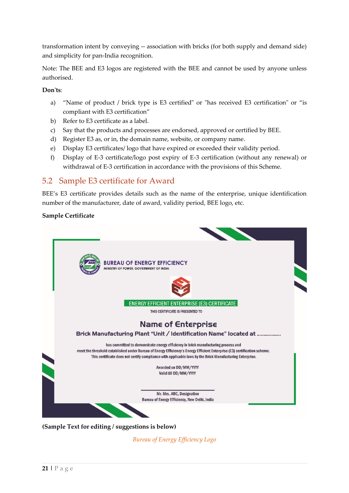transformation intent by conveying -- association with bricks (for both supply and demand side) and simplicity for pan-India recognition.

Note: The BEE and E3 logos are registered with the BEE and cannot be used by anyone unless authorised.

#### **Don'ts**:

- a) "Name of product / brick type is E3 certified" or "has received E3 certification" or "is compliant with E3 certification"
- b) Refer to E3 certificate as a label.
- c) Say that the products and processes are endorsed, approved or certified by BEE.
- d) Register E3 as, or in, the domain name, website, or company name.
- e) Display E3 certificates/ logo that have expired or exceeded their validity period.
- f) Display of E-3 certificate/logo post expiry of E-3 certification (without any renewal) or withdrawal of E-3 certification in accordance with the provisions of this Scheme.

#### <span id="page-20-0"></span>5.2 Sample E3 certificate for Award

BEE's E3 certificate provides details such as the name of the enterprise, unique identification number of the manufacturer, date of award, validity period, BEE logo, etc.

#### **Sample Certificate**



**(Sample Text for editing / suggestions is below)** 

*Bureau of Energy Efficiency Logo*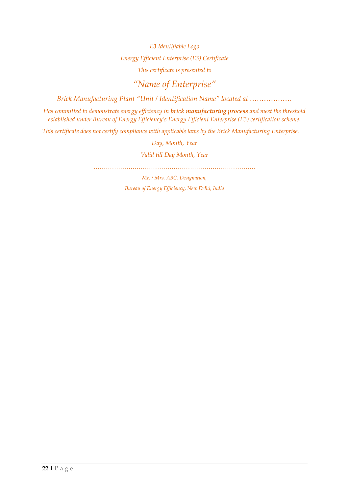*E3 Identifiable Logo Energy Efficient Enterprise (E3) Certificate This certificate is presented to*

### *"Name of Enterprise"*

*Brick Manufacturing Plant "Unit / Identification Name" located at ………………*

*Has committed to demonstrate energy efficiency in brick manufacturing process and meet the threshold established under Bureau of Energy Efficiency's Energy Efficient Enterprise (E3) certification scheme.* 

*This certificate does not certify compliance with applicable laws by the Brick Manufacturing Enterprise.*

*Day, Month, Year*

*Valid till Day Month, Year*

*…………………………………………………………………….*

*Mr. / Mrs. ABC, Designation, Bureau of Energy Efficiency, New Delhi, India*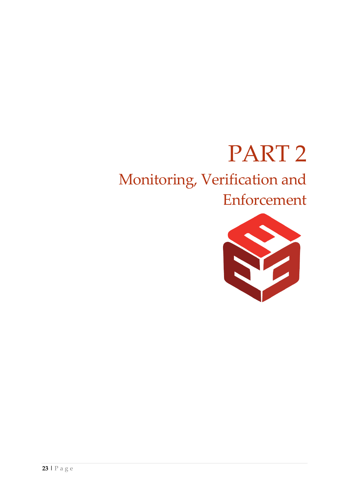# PART 2

# Monitoring, Verification and

# Enforcement

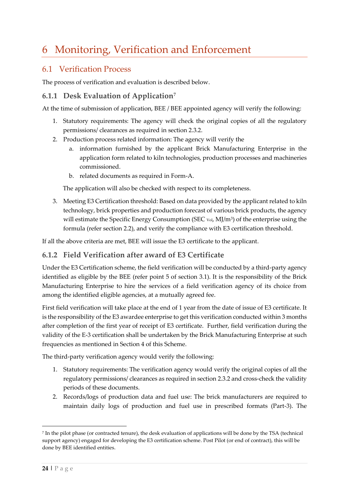# <span id="page-23-0"></span>6 Monitoring, Verification and Enforcement

#### <span id="page-23-1"></span>6.1 Verification Process

The process of verification and evaluation is described below.

#### <span id="page-23-2"></span>**6.1.1 Desk Evaluation of Application<sup>7</sup>**

At the time of submission of application, BEE / BEE appointed agency will verify the following:

- 1. Statutory requirements: The agency will check the original copies of all the regulatory permissions/ clearances as required in section 2.3.2.
- 2. Production process related information: The agency will verify the
	- a. information furnished by the applicant Brick Manufacturing Enterprise in the application form related to kiln technologies, production processes and machineries commissioned.
	- b. related documents as required in Form-A.

The application will also be checked with respect to its completeness.

3. Meeting E3 Certification threshold: Based on data provided by the applicant related to kiln technology, brick properties and production forecast of various brick products, the agency will estimate the Specific Energy Consumption (SEC  $\text{vol}$ , MJ/m<sup>3</sup>) of the enterprise using the formula (refer section 2.2), and verify the compliance with E3 certification threshold.

If all the above criteria are met, BEE will issue the E3 certificate to the applicant.

#### <span id="page-23-3"></span>**6.1.2 Field Verification after award of E3 Certificate**

Under the E3 Certification scheme, the field verification will be conducted by a third-party agency identified as eligible by the BEE (refer point 5 of section 3.1). It is the responsibility of the Brick Manufacturing Enterprise to hire the services of a field verification agency of its choice from among the identified eligible agencies, at a mutually agreed fee.

First field verification will take place at the end of 1 year from the date of issue of E3 certificate. It is the responsibility of the E3 awardee enterprise to get this verification conducted within 3 months after completion of the first year of receipt of E3 certificate. Further, field verification during the validity of the E-3 certification shall be undertaken by the Brick Manufacturing Enterprise at such frequencies as mentioned in Section 4 of this Scheme.

The third-party verification agency would verify the following:

- 1. Statutory requirements: The verification agency would verify the original copies of all the regulatory permissions/ clearances as required in section 2.3.2 and cross-check the validity periods of these documents.
- 2. Records/logs of production data and fuel use: The brick manufacturers are required to maintain daily logs of production and fuel use in prescribed formats (Part-3). The

<sup>7</sup> In the pilot phase (or contracted tenure), the desk evaluation of applications will be done by the TSA (technical support agency) engaged for developing the E3 certification scheme. Post Pilot (or end of contract), this will be done by BEE identified entities.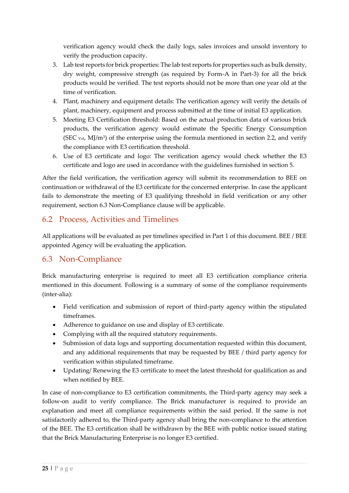verification agency would check the daily logs, sales invoices and unsold inventory to verify the production capacity.

- 3. Lab test reports for brick properties: The lab test reports for properties such as bulk density, dry weight, compressive strength (as required by Form-A in Part-3) for all the brick products would be verified. The test reports should not be more than one year old at the time of verification.
- 4. Plant, machinery and equipment details: The verification agency will verify the details of plant, machinery, equipment and process submitted at the time of initial E3 application.
- 5. Meeting E3 Certification threshold: Based on the actual production data of various brick products, the verification agency would estimate the Specific Energy Consumption (SEC  $\text{vol}, \text{MJ/m}^3$ ) of the enterprise using the formula mentioned in section 2.2, and verify the compliance with E3 certification threshold.
- 6. Use of E3 certificate and logo: The verification agency would check whether the E3 certificate and logo are used in accordance with the guidelines furnished in section 5.

After the field verification, the verification agency will submit its recommendation to BEE on continuation or withdrawal of the E3 certificate for the concerned enterprise. In case the applicant fails to demonstrate the meeting of E3 qualifying threshold in field verification or any other requirement, section 6.3 Non-Compliance clause will be applicable.

#### <span id="page-24-0"></span>6.2 Process, Activities and Timelines

All applications will be evaluated as per timelines specified in Part 1 of this document. BEE / BEE appointed Agency will be evaluating the application.

#### <span id="page-24-1"></span>6.3 Non-Compliance

Brick manufacturing enterprise is required to meet all E3 certification compliance criteria mentioned in this document. Following is a summary of some of the compliance requirements (inter-alia):

- Field verification and submission of report of third-party agency within the stipulated timeframes.
- Adherence to guidance on use and display of E3 certificate.
- Complying with all the required statutory requirements.
- Submission of data logs and supporting documentation requested within this document, and any additional requirements that may be requested by BEE / third party agency for verification within stipulated timeframe.
- Updating/ Renewing the E3 certificate to meet the latest threshold for qualification as and when notified by BEE.

In case of non-compliance to E3 certification commitments, the Third-party agency may seek a follow-on audit to verify compliance. The Brick manufacturer is required to provide an explanation and meet all compliance requirements within the said period. If the same is not satisfactorily adhered to, the Third-party agency shall bring the non-compliance to the attention of the BEE. The E3 certification shall be withdrawn by the BEE with public notice issued stating that the Brick Manufacturing Enterprise is no longer E3 certified.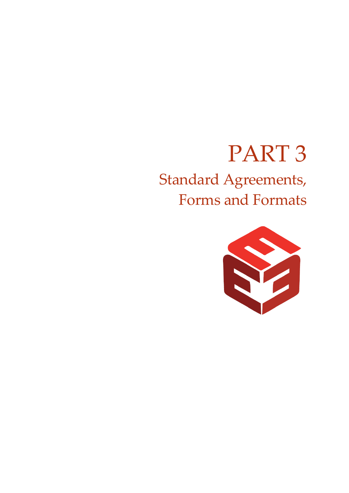# PART 3

# Standard Agreements, Forms and Formats

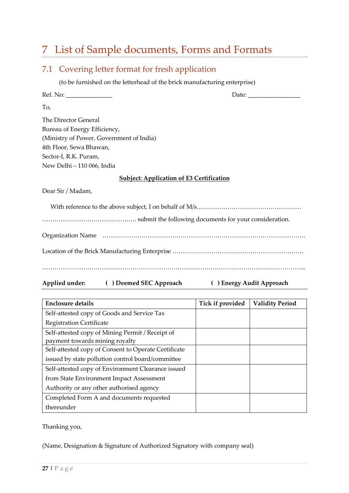# <span id="page-26-0"></span>7 List of Sample documents, Forms and Formats

<span id="page-26-1"></span>

|     | 7.1 Covering letter format for fresh application                          |  |
|-----|---------------------------------------------------------------------------|--|
|     | (to be furnished on the letterhead of the brick manufacturing enterprise) |  |
|     |                                                                           |  |
| To, |                                                                           |  |
|     | The Director General                                                      |  |
|     | Bureau of Energy Efficiency,                                              |  |
|     | (Ministry of Power, Government of India)                                  |  |
|     | 4th Floor, Sewa Bhawan,                                                   |  |
|     | Sector-I, R.K. Puram,                                                     |  |
|     | New Delhi - 110 066, India                                                |  |
|     | <b>Subject: Application of E3 Certification</b>                           |  |
|     | Dear Sir / Madam,                                                         |  |
|     |                                                                           |  |
|     |                                                                           |  |
|     |                                                                           |  |
|     |                                                                           |  |
|     | ( ) Deemed SEC Approach<br>Applied under:<br>() Energy Audit Approach     |  |

| <b>Enclosure details</b>                             | Tick if provided | <b>Validity Period</b> |
|------------------------------------------------------|------------------|------------------------|
| Self-attested copy of Goods and Service Tax          |                  |                        |
| <b>Registration Certificate</b>                      |                  |                        |
| Self-attested copy of Mining Permit / Receipt of     |                  |                        |
| payment towards mining royalty                       |                  |                        |
| Self-attested copy of Consent to Operate Certificate |                  |                        |
| issued by state pollution control board/committee    |                  |                        |
| Self-attested copy of Environment Clearance issued   |                  |                        |
| from State Environment Impact Assessment             |                  |                        |
| Authority or any other authorised agency             |                  |                        |
| Completed Form A and documents requested             |                  |                        |
| thereunder                                           |                  |                        |

Thanking you,

(Name, Designation & Signature of Authorized Signatory with company seal)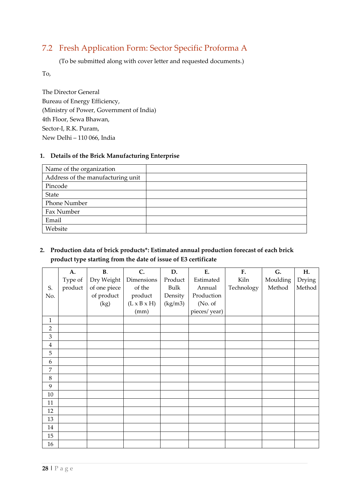#### <span id="page-27-0"></span>7.2 Fresh Application Form: Sector Specific Proforma A

(To be submitted along with cover letter and requested documents.)

To,

The Director General Bureau of Energy Efficiency, (Ministry of Power, Government of India) 4th Floor, Sewa Bhawan, Sector-I, R.K. Puram, New Delhi – 110 066, India

#### **1. Details of the Brick Manufacturing Enterprise**

| Name of the organization          |  |
|-----------------------------------|--|
| Address of the manufacturing unit |  |
| Pincode                           |  |
| State                             |  |
| <b>Phone Number</b>               |  |
| Fax Number                        |  |
| Email                             |  |
| Website                           |  |

#### **2. Production data of brick products\*: Estimated annual production forecast of each brick product type starting from the date of issue of E3 certificate**

|                | A.      | B.           | C.                      | D.      | E.           | F.         | G.       | H.     |
|----------------|---------|--------------|-------------------------|---------|--------------|------------|----------|--------|
|                | Type of | Dry Weight   | Dimensions              | Product | Estimated    | Kiln       | Moulding | Drying |
| S.             | product | of one piece | of the                  | Bulk    | Annual       | Technology | Method   | Method |
| No.            |         | of product   | product                 | Density | Production   |            |          |        |
|                |         | (kg)         | $(L \times B \times H)$ | (kg/m3) | (No. of      |            |          |        |
|                |         |              | (mm)                    |         | pieces/year) |            |          |        |
| $\mathbf{1}$   |         |              |                         |         |              |            |          |        |
| 2              |         |              |                         |         |              |            |          |        |
| 3              |         |              |                         |         |              |            |          |        |
| $\overline{4}$ |         |              |                         |         |              |            |          |        |
| 5              |         |              |                         |         |              |            |          |        |
| 6              |         |              |                         |         |              |            |          |        |
| 7              |         |              |                         |         |              |            |          |        |
| 8              |         |              |                         |         |              |            |          |        |
| 9              |         |              |                         |         |              |            |          |        |
| $10\,$         |         |              |                         |         |              |            |          |        |
| 11             |         |              |                         |         |              |            |          |        |
| 12             |         |              |                         |         |              |            |          |        |
| 13             |         |              |                         |         |              |            |          |        |
| 14             |         |              |                         |         |              |            |          |        |
| 15             |         |              |                         |         |              |            |          |        |
| 16             |         |              |                         |         |              |            |          |        |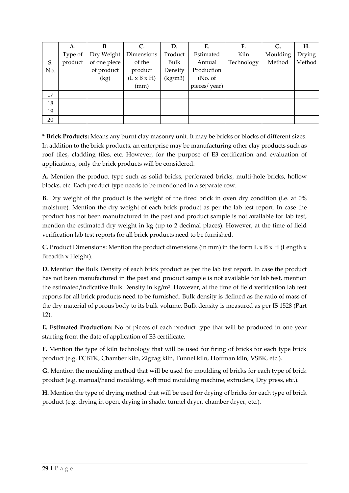|     | A.      | <b>B.</b>    | C.                      | D.      | Е.           | F.         | G.       | Н.     |
|-----|---------|--------------|-------------------------|---------|--------------|------------|----------|--------|
|     | Type of | Dry Weight   | Dimensions              | Product | Estimated    | Kiln       | Moulding | Drying |
| S.  | product | of one piece | of the                  | Bulk    | Annual       | Technology | Method   | Method |
| No. |         | of product   | product                 | Density | Production   |            |          |        |
|     |         | (kg)         | $(L \times B \times H)$ | (kg/m3) | (No. of)     |            |          |        |
|     |         |              | (mm)                    |         | pieces/year) |            |          |        |
| 17  |         |              |                         |         |              |            |          |        |
| 18  |         |              |                         |         |              |            |          |        |
| 19  |         |              |                         |         |              |            |          |        |
| 20  |         |              |                         |         |              |            |          |        |

**\* Brick Products:** Means any burnt clay masonry unit. It may be bricks or blocks of different sizes. In addition to the brick products, an enterprise may be manufacturing other clay products such as roof tiles, cladding tiles, etc. However, for the purpose of E3 certification and evaluation of applications, only the brick products will be considered.

**A.** Mention the product type such as solid bricks, perforated bricks, multi-hole bricks, hollow blocks, etc. Each product type needs to be mentioned in a separate row.

**B.** Dry weight of the product is the weight of the fired brick in oven dry condition (i.e. at 0% moisture). Mention the dry weight of each brick product as per the lab test report. In case the product has not been manufactured in the past and product sample is not available for lab test, mention the estimated dry weight in kg (up to 2 decimal places). However, at the time of field verification lab test reports for all brick products need to be furnished.

**C.** Product Dimensions: Mention the product dimensions (in mm) in the form L x B x H (Length x Breadth x Height).

**D.** Mention the Bulk Density of each brick product as per the lab test report. In case the product has not been manufactured in the past and product sample is not available for lab test, mention the estimated/indicative Bulk Density in  $kg/m<sup>3</sup>$ . However, at the time of field verification lab test reports for all brick products need to be furnished. Bulk density is defined as the ratio of mass of the dry material of porous body to its bulk volume. Bulk density is measured as per IS 1528 (Part 12).

**E. Estimated Production:** No of pieces of each product type that will be produced in one year starting from the date of application of E3 certificate.

**F.** Mention the type of kiln technology that will be used for firing of bricks for each type brick product (e.g. FCBTK, Chamber kiln, Zigzag kiln, Tunnel kiln, Hoffman kiln, VSBK, etc.).

**G.** Mention the moulding method that will be used for moulding of bricks for each type of brick product (e.g. manual/hand moulding, soft mud moulding machine, extruders, Dry press, etc.).

**H.** Mention the type of drying method that will be used for drying of bricks for each type of brick product (e.g. drying in open, drying in shade, tunnel dryer, chamber dryer, etc.).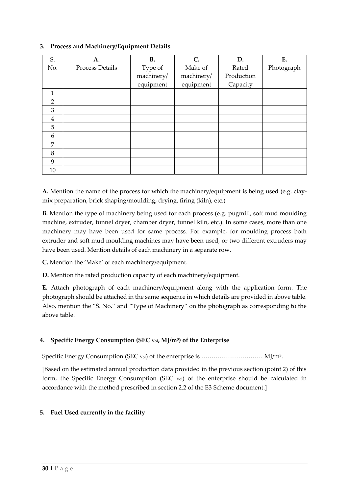| S.             | A.                     | <b>B.</b>  | $\mathsf{C}$ . | D.         | E.         |
|----------------|------------------------|------------|----------------|------------|------------|
| No.            | <b>Process Details</b> | Type of    | Make of        | Rated      | Photograph |
|                |                        | machinery/ | machinery/     | Production |            |
|                |                        | equipment  | equipment      | Capacity   |            |
| $\mathbf{1}$   |                        |            |                |            |            |
| $\overline{2}$ |                        |            |                |            |            |
| $\overline{3}$ |                        |            |                |            |            |
| $\overline{4}$ |                        |            |                |            |            |
| 5              |                        |            |                |            |            |
| 6              |                        |            |                |            |            |
| 7              |                        |            |                |            |            |
| 8              |                        |            |                |            |            |
| 9              |                        |            |                |            |            |
| 10             |                        |            |                |            |            |

#### **3. Process and Machinery/Equipment Details**

**A.** Mention the name of the process for which the machinery/equipment is being used (e.g. claymix preparation, brick shaping/moulding, drying, firing (kiln), etc.)

**B.** Mention the type of machinery being used for each process (e.g. pugmill, soft mud moulding machine, extruder, tunnel dryer, chamber dryer, tunnel kiln, etc.). In some cases, more than one machinery may have been used for same process. For example, for moulding process both extruder and soft mud moulding machines may have been used, or two different extruders may have been used. Mention details of each machinery in a separate row.

**C.** Mention the 'Make' of each machinery/equipment.

**D.** Mention the rated production capacity of each machinery/equipment.

**E.** Attach photograph of each machinery/equipment along with the application form. The photograph should be attached in the same sequence in which details are provided in above table. Also, mention the "S. No." and "Type of Machinery" on the photograph as corresponding to the above table.

#### **4. Specific Energy Consumption (SEC Vol, MJ/m<sup>3</sup> ) of the Enterprise**

Specific Energy Consumption (SEC  $\rm{vol}$  of the enterprise is  $\ldots\ldots\ldots\ldots\ldots\ldots\ldots\ldots\rm{M}$ J/m $^3$ .

[Based on the estimated annual production data provided in the previous section (point 2) of this form, the Specific Energy Consumption (SEC Vol) of the enterprise should be calculated in accordance with the method prescribed in section 2.2 of the E3 Scheme document.]

#### **5. Fuel Used currently in the facility**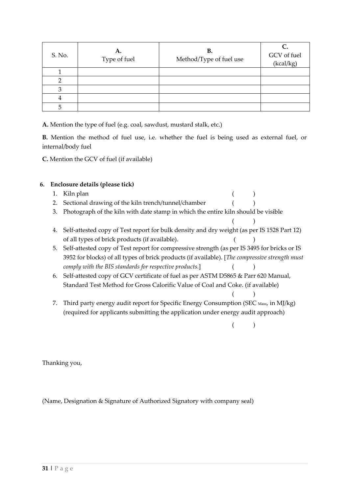| S. No. | A.<br>Type of fuel | В.<br>Method/Type of fuel use | GCV of fuel<br>(kcal/kg) |
|--------|--------------------|-------------------------------|--------------------------|
|        |                    |                               |                          |
|        |                    |                               |                          |
|        |                    |                               |                          |
|        |                    |                               |                          |
|        |                    |                               |                          |

**A.** Mention the type of fuel (e.g. coal, sawdust, mustard stalk, etc.)

**B.** Mention the method of fuel use, i.e. whether the fuel is being used as external fuel, or internal/body fuel

**C.** Mention the GCV of fuel (if available)

#### **6. Enclosure details (please tick)**

- 1. Kiln plan ( )
- 2. Sectional drawing of the kiln trench/tunnel/chamber ()
- 3. Photograph of the kiln with date stamp in which the entire kiln should be visible
- 4. Self-attested copy of Test report for bulk density and dry weight (as per IS 1528 Part 12) of all types of brick products (if available). ( )
- 5. Self-attested copy of Test report for compressive strength (as per IS 3495 for bricks or IS 3952 for blocks) of all types of brick products (if available). [*The compressive strength must comply with the BIS standards for respective products.*] ( )
- 6. Self-attested copy of GCV certificate of fuel as per ASTM D5865 & Parr 620 Manual, Standard Test Method for Gross Calorific Value of Coal and Coke. (if available)
- $($  ) 7. Third party energy audit report for Specific Energy Consumption (SEC Mass, in MJ/kg) (required for applicants submitting the application under energy audit approach)

( )

( )

Thanking you,

(Name, Designation & Signature of Authorized Signatory with company seal)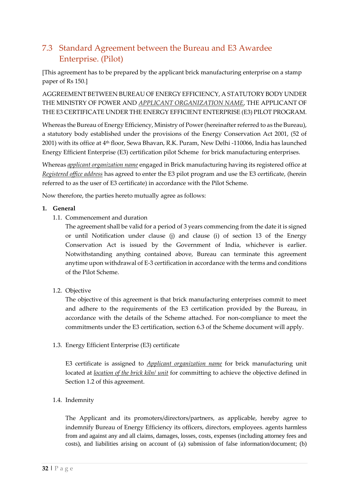#### <span id="page-31-0"></span>7.3 Standard Agreement between the Bureau and E3 Awardee Enterprise. (Pilot)

[This agreement has to be prepared by the applicant brick manufacturing enterprise on a stamp paper of Rs 150.]

AGGREEMENT BETWEEN BUREAU OF ENERGY EFFICIENCY, A STATUTORY BODY UNDER THE MINISTRY OF POWER AND *APPLICANT ORGANIZATION NAME*, THE APPLICANT OF THE E3 CERTIFICATE UNDER THE ENERGY EFFICIENT ENTERPRISE (E3) PILOT PROGRAM.

Whereas the Bureau of Energy Efficiency, Ministry of Power (hereinafter referred to as the Bureau), a statutory body established under the provisions of the Energy Conservation Act 2001, (52 of 2001) with its office at 4th floor, Sewa Bhavan, R.K. Puram, New Delhi -110066, India has launched Energy Efficient Enterprise (E3) certification pilot Scheme for brick manufacturing enterprises.

Whereas *applicant organization name* engaged in Brick manufacturing having its registered office at *Registered office address* has agreed to enter the E3 pilot program and use the E3 certificate, (herein referred to as the user of E3 certificate) in accordance with the Pilot Scheme.

Now therefore, the parties hereto mutually agree as follows:

#### **1. General**

1.1. Commencement and duration

The agreement shall be valid for a period of 3 years commencing from the date it is signed or until Notification under clause (j) and clause (i) of section 13 of the Energy Conservation Act is issued by the Government of India, whichever is earlier. Notwithstanding anything contained above, Bureau can terminate this agreement anytime upon withdrawal of E-3 certification in accordance with the terms and conditions of the Pilot Scheme.

<span id="page-31-1"></span>1.2. Objective

The objective of this agreement is that brick manufacturing enterprises commit to meet and adhere to the requirements of the E3 certification provided by the Bureau, in accordance with the details of the Scheme attached. For non-compliance to meet the commitments under the E3 certification, section 6.3 of the Scheme document will apply.

1.3. Energy Efficient Enterprise (E3) certificate

E3 certificate is assigned to *Applicant organization name* for brick manufacturing unit located at *location of the brick kiln/ unit* for committing to achieve the objective defined in Section [1.2](#page-31-1) of this agreement.

#### 1.4. Indemnity

The Applicant and its promoters/directors/partners, as applicable, hereby agree to indemnify Bureau of Energy Efficiency its officers, directors, employees. agents harmless from and against any and all claims, damages, losses, costs, expenses (including attorney fees and costs), and liabilities arising on account of (a) submission of false information/document; (b)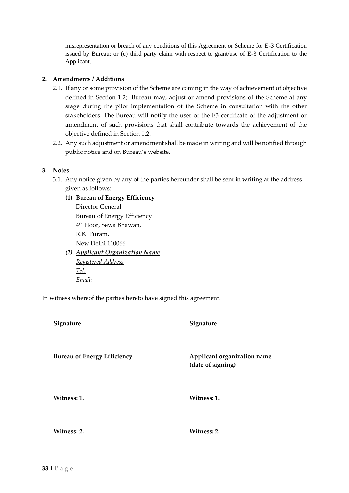misrepresentation or breach of any conditions of this Agreement or Scheme for E-3 Certification issued by Bureau; or (c) third party claim with respect to grant/use of E-3 Certification to the Applicant.

#### **2. Amendments / Additions**

- 2.1. If any or some provision of the Scheme are coming in the way of achievement of objective defined in Section [1.2;](#page-31-1) Bureau may, adjust or amend provisions of the Scheme at any stage during the pilot implementation of the Scheme in consultation with the other stakeholders. The Bureau will notify the user of the E3 certificate of the adjustment or amendment of such provisions that shall contribute towards the achievement of the objective defined in Section [1.2.](#page-31-1)
- 2.2. Any such adjustment or amendment shall be made in writing and will be notified through public notice and on Bureau's website.

#### **3. Notes**

- 3.1. Any notice given by any of the parties hereunder shall be sent in writing at the address given as follows:
	- **(1) Bureau of Energy Efficiency**  Director General Bureau of Energy Efficiency 4 th Floor, Sewa Bhawan, R.K. Puram, New Delhi 110066
	- *(2) Applicant Organization Name Registered Address Tel: Email:*

In witness whereof the parties hereto have signed this agreement.

| Signature                          | Signature                                        |
|------------------------------------|--------------------------------------------------|
| <b>Bureau of Energy Efficiency</b> | Applicant organization name<br>(date of signing) |
| Witness: 1.                        | Witness: 1.                                      |
| Witness: 2.                        | Witness: 2.                                      |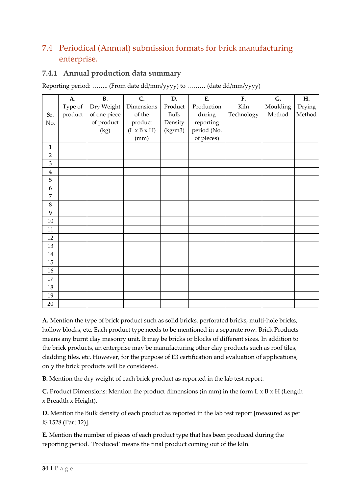#### <span id="page-33-0"></span>7.4 Periodical (Annual) submission formats for brick manufacturing enterprise.

#### <span id="page-33-1"></span>**7.4.1 Annual production data summary**

Reporting period: …….. (From date dd/mm/yyyy) to ……… (date dd/mm/yyyy)

|                  | A.      | B.           | C.                      | D.      | E.          | F.         | G.       | Η.     |
|------------------|---------|--------------|-------------------------|---------|-------------|------------|----------|--------|
|                  | Type of | Dry Weight   | Dimensions              | Product | Production  | Kiln       | Moulding | Drying |
| Sr.              | product | of one piece | of the                  | Bulk    | during      | Technology | Method   | Method |
| No.              |         | of product   | product                 | Density | reporting   |            |          |        |
|                  |         | (kg)         | $(L \times B \times H)$ | (kg/m3) | period (No. |            |          |        |
|                  |         |              | (mm)                    |         | of pieces)  |            |          |        |
| $\mathbf{1}$     |         |              |                         |         |             |            |          |        |
| $\overline{2}$   |         |              |                         |         |             |            |          |        |
| $\mathfrak{Z}$   |         |              |                         |         |             |            |          |        |
| $\bf 4$          |         |              |                         |         |             |            |          |        |
| $\mathbf 5$      |         |              |                         |         |             |            |          |        |
| $\boldsymbol{6}$ |         |              |                         |         |             |            |          |        |
| $\overline{7}$   |         |              |                         |         |             |            |          |        |
| $\,8\,$          |         |              |                         |         |             |            |          |        |
| 9                |         |              |                         |         |             |            |          |        |
| $10\,$           |         |              |                         |         |             |            |          |        |
| 11               |         |              |                         |         |             |            |          |        |
| 12               |         |              |                         |         |             |            |          |        |
| 13               |         |              |                         |         |             |            |          |        |
| $14\,$           |         |              |                         |         |             |            |          |        |
| 15               |         |              |                         |         |             |            |          |        |
| 16               |         |              |                         |         |             |            |          |        |
| $17\,$           |         |              |                         |         |             |            |          |        |
| 18               |         |              |                         |         |             |            |          |        |
| 19               |         |              |                         |         |             |            |          |        |
| 20               |         |              |                         |         |             |            |          |        |

**A.** Mention the type of brick product such as solid bricks, perforated bricks, multi-hole bricks, hollow blocks, etc. Each product type needs to be mentioned in a separate row. Brick Products means any burnt clay masonry unit. It may be bricks or blocks of different sizes. In addition to the brick products, an enterprise may be manufacturing other clay products such as roof tiles, cladding tiles, etc. However, for the purpose of E3 certification and evaluation of applications, only the brick products will be considered.

**B.** Mention the dry weight of each brick product as reported in the lab test report.

**C.** Product Dimensions: Mention the product dimensions (in mm) in the form L x B x H (Length x Breadth x Height).

**D.** Mention the Bulk density of each product as reported in the lab test report [measured as per IS 1528 (Part 12)].

**E.** Mention the number of pieces of each product type that has been produced during the reporting period. 'Produced' means the final product coming out of the kiln.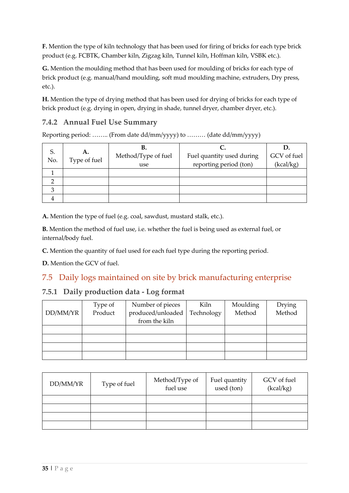**F.** Mention the type of kiln technology that has been used for firing of bricks for each type brick product (e.g. FCBTK, Chamber kiln, Zigzag kiln, Tunnel kiln, Hoffman kiln, VSBK etc.).

**G.** Mention the moulding method that has been used for moulding of bricks for each type of brick product (e.g. manual/hand moulding, soft mud moulding machine, extruders, Dry press, etc.).

**H.** Mention the type of drying method that has been used for drying of bricks for each type of brick product (e.g. drying in open, drying in shade, tunnel dryer, chamber dryer, etc.).

#### <span id="page-34-0"></span>**7.4.2 Annual Fuel Use Summary**

Reporting period: …….. (From date dd/mm/yyyy) to ……… (date dd/mm/yyyy)

| S<br>No. | А.<br>Type of fuel | В.<br>Method/Type of fuel<br>use | Fuel quantity used during<br>reporting period (ton) | GCV of fuel<br>(kcal/kg) |
|----------|--------------------|----------------------------------|-----------------------------------------------------|--------------------------|
|          |                    |                                  |                                                     |                          |
|          |                    |                                  |                                                     |                          |
|          |                    |                                  |                                                     |                          |
|          |                    |                                  |                                                     |                          |

**A.** Mention the type of fuel (e.g. coal, sawdust, mustard stalk, etc.).

**B.** Mention the method of fuel use, i.e. whether the fuel is being used as external fuel, or internal/body fuel.

**C.** Mention the quantity of fuel used for each fuel type during the reporting period.

**D.** Mention the GCV of fuel.

#### <span id="page-34-1"></span>7.5 Daily logs maintained on site by brick manufacturing enterprise

#### <span id="page-34-2"></span>**7.5.1 Daily production data - Log format**

|          | Type of | Number of pieces  | Kiln       | Moulding | Drying |
|----------|---------|-------------------|------------|----------|--------|
| DD/MM/YR | Product | produced/unloaded | Technology | Method   | Method |
|          |         | from the kiln     |            |          |        |
|          |         |                   |            |          |        |
|          |         |                   |            |          |        |
|          |         |                   |            |          |        |
|          |         |                   |            |          |        |

| DD/MM/YR | Type of fuel | Method/Type of<br>fuel use | Fuel quantity<br>used (ton) | GCV of fuel<br>(kcal/kg) |
|----------|--------------|----------------------------|-----------------------------|--------------------------|
|          |              |                            |                             |                          |
|          |              |                            |                             |                          |
|          |              |                            |                             |                          |
|          |              |                            |                             |                          |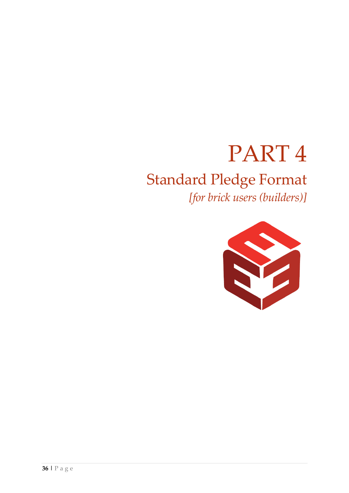# PART 4

# Standard Pledge Format

*[for brick users (builders)]*